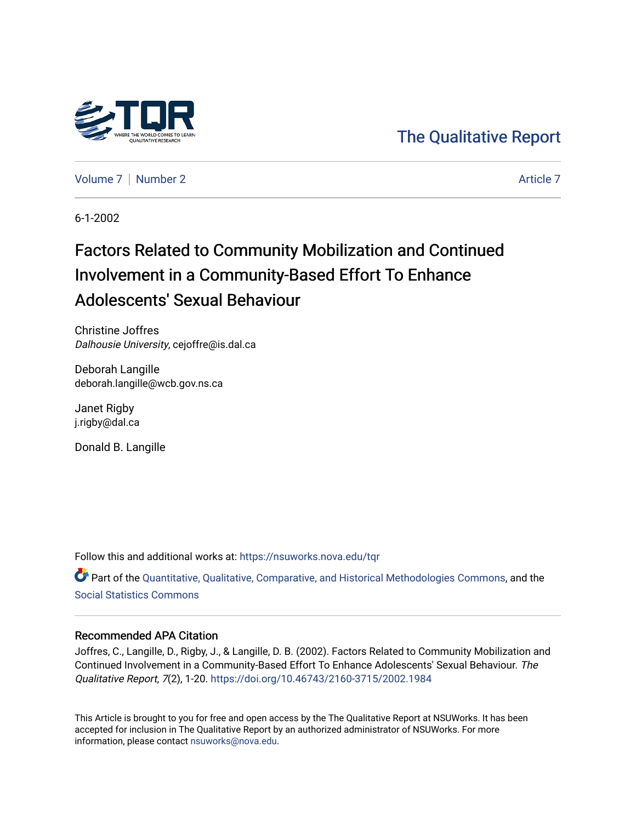

[The Qualitative Report](https://nsuworks.nova.edu/tqr) 

[Volume 7](https://nsuworks.nova.edu/tqr/vol7) | [Number 2](https://nsuworks.nova.edu/tqr/vol7/iss2) Article 7

6-1-2002

# Factors Related to Community Mobilization and Continued Involvement in a Community-Based Effort To Enhance Adolescents' Sexual Behaviour

Christine Joffres Dalhousie University, cejoffre@is.dal.ca

Deborah Langille deborah.langille@wcb.gov.ns.ca

Janet Rigby j.rigby@dal.ca

Donald B. Langille

Follow this and additional works at: [https://nsuworks.nova.edu/tqr](https://nsuworks.nova.edu/tqr?utm_source=nsuworks.nova.edu%2Ftqr%2Fvol7%2Fiss2%2F7&utm_medium=PDF&utm_campaign=PDFCoverPages) 

Part of the [Quantitative, Qualitative, Comparative, and Historical Methodologies Commons,](http://network.bepress.com/hgg/discipline/423?utm_source=nsuworks.nova.edu%2Ftqr%2Fvol7%2Fiss2%2F7&utm_medium=PDF&utm_campaign=PDFCoverPages) and the [Social Statistics Commons](http://network.bepress.com/hgg/discipline/1275?utm_source=nsuworks.nova.edu%2Ftqr%2Fvol7%2Fiss2%2F7&utm_medium=PDF&utm_campaign=PDFCoverPages) 

#### Recommended APA Citation

Joffres, C., Langille, D., Rigby, J., & Langille, D. B. (2002). Factors Related to Community Mobilization and Continued Involvement in a Community-Based Effort To Enhance Adolescents' Sexual Behaviour. The Qualitative Report, 7(2), 1-20. <https://doi.org/10.46743/2160-3715/2002.1984>

This Article is brought to you for free and open access by the The Qualitative Report at NSUWorks. It has been accepted for inclusion in The Qualitative Report by an authorized administrator of NSUWorks. For more information, please contact [nsuworks@nova.edu.](mailto:nsuworks@nova.edu)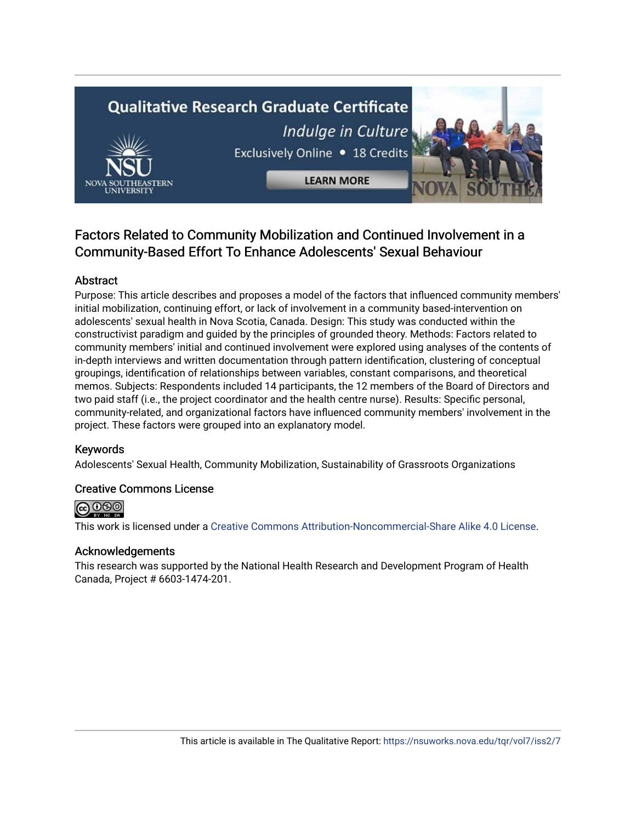# **Qualitative Research Graduate Certificate** Indulge in Culture Exclusively Online . 18 Credits **LEARN MORE**



## Factors Related to Community Mobilization and Continued Involvement in a Community-Based Effort To Enhance Adolescents' Sexual Behaviour

## Abstract

Purpose: This article describes and proposes a model of the factors that influenced community members' initial mobilization, continuing effort, or lack of involvement in a community based-intervention on adolescents' sexual health in Nova Scotia, Canada. Design: This study was conducted within the constructivist paradigm and guided by the principles of grounded theory. Methods: Factors related to community members' initial and continued involvement were explored using analyses of the contents of in-depth interviews and written documentation through pattern identification, clustering of conceptual groupings, identification of relationships between variables, constant comparisons, and theoretical memos. Subjects: Respondents included 14 participants, the 12 members of the Board of Directors and two paid staff (i.e., the project coordinator and the health centre nurse). Results: Specific personal, community-related, and organizational factors have influenced community members' involvement in the project. These factors were grouped into an explanatory model.

## Keywords

Adolescents' Sexual Health, Community Mobilization, Sustainability of Grassroots Organizations

## Creative Commons License



This work is licensed under a [Creative Commons Attribution-Noncommercial-Share Alike 4.0 License](https://creativecommons.org/licenses/by-nc-sa/4.0/).

#### Acknowledgements

This research was supported by the National Health Research and Development Program of Health Canada, Project # 6603-1474-201.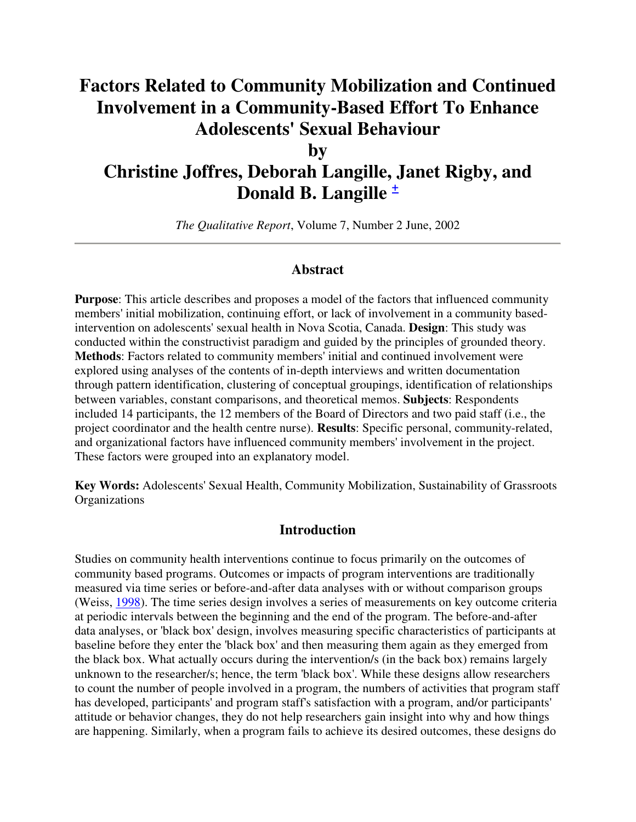## **Factors Related to Community Mobilization and Continued Involvement in a Community-Based Effort To Enhance Adolescents' Sexual Behaviour**

**by** 

## **Christine Joffres, Deborah Langille, Janet Rigby, and Donald B. Langille <sup>+</sup>**

*The Qualitative Report*, Volume 7, Number 2 June, 2002

## **Abstract**

**Purpose**: This article describes and proposes a model of the factors that influenced community members' initial mobilization, continuing effort, or lack of involvement in a community basedintervention on adolescents' sexual health in Nova Scotia, Canada. **Design**: This study was conducted within the constructivist paradigm and guided by the principles of grounded theory. **Methods**: Factors related to community members' initial and continued involvement were explored using analyses of the contents of in-depth interviews and written documentation through pattern identification, clustering of conceptual groupings, identification of relationships between variables, constant comparisons, and theoretical memos. **Subjects**: Respondents included 14 participants, the 12 members of the Board of Directors and two paid staff (i.e., the project coordinator and the health centre nurse). **Results**: Specific personal, community-related, and organizational factors have influenced community members' involvement in the project. These factors were grouped into an explanatory model.

**Key Words:** Adolescents' Sexual Health, Community Mobilization, Sustainability of Grassroots **Organizations** 

#### **Introduction**

Studies on community health interventions continue to focus primarily on the outcomes of community based programs. Outcomes or impacts of program interventions are traditionally measured via time series or before-and-after data analyses with or without comparison groups (Weiss, 1998). The time series design involves a series of measurements on key outcome criteria at periodic intervals between the beginning and the end of the program. The before-and-after data analyses, or 'black box' design, involves measuring specific characteristics of participants at baseline before they enter the 'black box' and then measuring them again as they emerged from the black box. What actually occurs during the intervention/s (in the back box) remains largely unknown to the researcher/s; hence, the term 'black box'. While these designs allow researchers to count the number of people involved in a program, the numbers of activities that program staff has developed, participants' and program staff's satisfaction with a program, and/or participants' attitude or behavior changes, they do not help researchers gain insight into why and how things are happening. Similarly, when a program fails to achieve its desired outcomes, these designs do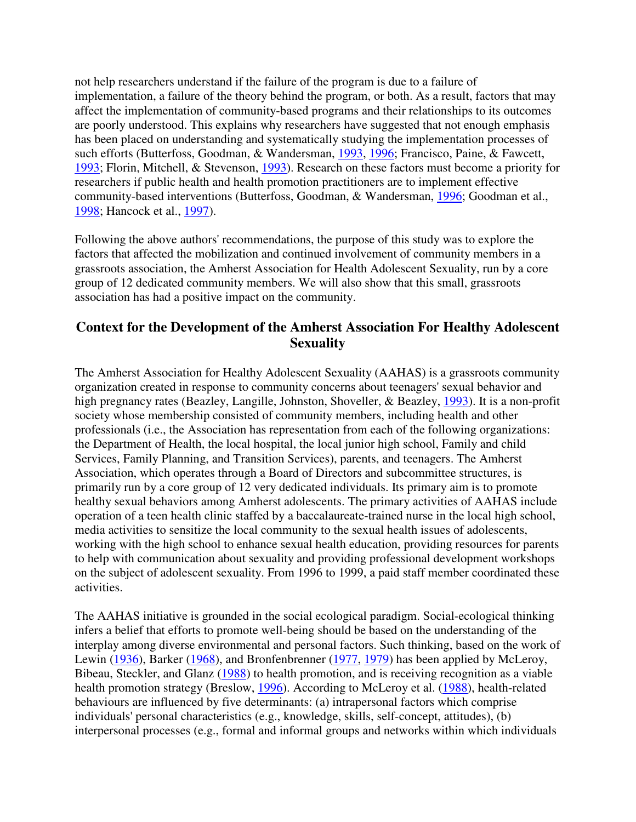not help researchers understand if the failure of the program is due to a failure of implementation, a failure of the theory behind the program, or both. As a result, factors that may affect the implementation of community-based programs and their relationships to its outcomes are poorly understood. This explains why researchers have suggested that not enough emphasis has been placed on understanding and systematically studying the implementation processes of such efforts (Butterfoss, Goodman, & Wandersman, 1993, 1996; Francisco, Paine, & Fawcett, 1993; Florin, Mitchell, & Stevenson, 1993). Research on these factors must become a priority for researchers if public health and health promotion practitioners are to implement effective community-based interventions (Butterfoss, Goodman, & Wandersman, 1996; Goodman et al., 1998; Hancock et al., 1997).

Following the above authors' recommendations, the purpose of this study was to explore the factors that affected the mobilization and continued involvement of community members in a grassroots association, the Amherst Association for Health Adolescent Sexuality, run by a core group of 12 dedicated community members. We will also show that this small, grassroots association has had a positive impact on the community.

## **Context for the Development of the Amherst Association For Healthy Adolescent Sexuality**

The Amherst Association for Healthy Adolescent Sexuality (AAHAS) is a grassroots community organization created in response to community concerns about teenagers' sexual behavior and high pregnancy rates (Beazley, Langille, Johnston, Shoveller, & Beazley, 1993). It is a non-profit society whose membership consisted of community members, including health and other professionals (i.e., the Association has representation from each of the following organizations: the Department of Health, the local hospital, the local junior high school, Family and child Services, Family Planning, and Transition Services), parents, and teenagers. The Amherst Association, which operates through a Board of Directors and subcommittee structures, is primarily run by a core group of 12 very dedicated individuals. Its primary aim is to promote healthy sexual behaviors among Amherst adolescents. The primary activities of AAHAS include operation of a teen health clinic staffed by a baccalaureate-trained nurse in the local high school, media activities to sensitize the local community to the sexual health issues of adolescents, working with the high school to enhance sexual health education, providing resources for parents to help with communication about sexuality and providing professional development workshops on the subject of adolescent sexuality. From 1996 to 1999, a paid staff member coordinated these activities.

The AAHAS initiative is grounded in the social ecological paradigm. Social-ecological thinking infers a belief that efforts to promote well-being should be based on the understanding of the interplay among diverse environmental and personal factors. Such thinking, based on the work of Lewin (1936), Barker (1968), and Bronfenbrenner (1977, 1979) has been applied by McLeroy, Bibeau, Steckler, and Glanz (1988) to health promotion, and is receiving recognition as a viable health promotion strategy (Breslow, 1996). According to McLeroy et al. (1988), health-related behaviours are influenced by five determinants: (a) intrapersonal factors which comprise individuals' personal characteristics (e.g., knowledge, skills, self-concept, attitudes), (b) interpersonal processes (e.g., formal and informal groups and networks within which individuals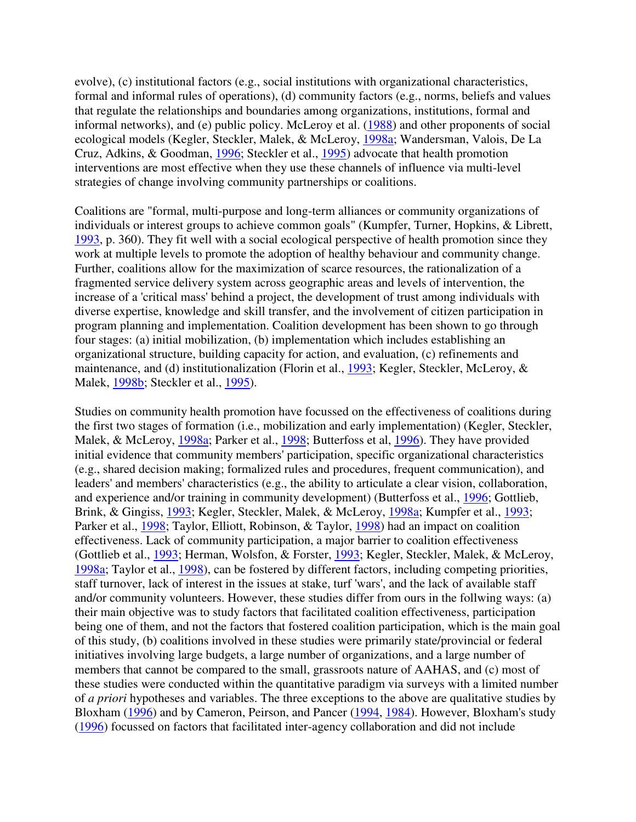evolve), (c) institutional factors (e.g., social institutions with organizational characteristics, formal and informal rules of operations), (d) community factors (e.g., norms, beliefs and values that regulate the relationships and boundaries among organizations, institutions, formal and informal networks), and (e) public policy. McLeroy et al. (1988) and other proponents of social ecological models (Kegler, Steckler, Malek, & McLeroy, 1998a; Wandersman, Valois, De La Cruz, Adkins, & Goodman, 1996; Steckler et al., 1995) advocate that health promotion interventions are most effective when they use these channels of influence via multi-level strategies of change involving community partnerships or coalitions.

Coalitions are "formal, multi-purpose and long-term alliances or community organizations of individuals or interest groups to achieve common goals" (Kumpfer, Turner, Hopkins, & Librett, 1993, p. 360). They fit well with a social ecological perspective of health promotion since they work at multiple levels to promote the adoption of healthy behaviour and community change. Further, coalitions allow for the maximization of scarce resources, the rationalization of a fragmented service delivery system across geographic areas and levels of intervention, the increase of a 'critical mass' behind a project, the development of trust among individuals with diverse expertise, knowledge and skill transfer, and the involvement of citizen participation in program planning and implementation. Coalition development has been shown to go through four stages: (a) initial mobilization, (b) implementation which includes establishing an organizational structure, building capacity for action, and evaluation, (c) refinements and maintenance, and (d) institutionalization (Florin et al., 1993; Kegler, Steckler, McLeroy, & Malek, 1998b; Steckler et al., 1995).

Studies on community health promotion have focussed on the effectiveness of coalitions during the first two stages of formation (i.e., mobilization and early implementation) (Kegler, Steckler, Malek, & McLeroy, 1998a; Parker et al., 1998; Butterfoss et al, 1996). They have provided initial evidence that community members' participation, specific organizational characteristics (e.g., shared decision making; formalized rules and procedures, frequent communication), and leaders' and members' characteristics (e.g., the ability to articulate a clear vision, collaboration, and experience and/or training in community development) (Butterfoss et al., 1996; Gottlieb, Brink, & Gingiss, 1993; Kegler, Steckler, Malek, & McLeroy, 1998a; Kumpfer et al., 1993; Parker et al., 1998; Taylor, Elliott, Robinson, & Taylor, 1998) had an impact on coalition effectiveness. Lack of community participation, a major barrier to coalition effectiveness (Gottlieb et al., 1993; Herman, Wolsfon, & Forster, 1993; Kegler, Steckler, Malek, & McLeroy, 1998a; Taylor et al., 1998), can be fostered by different factors, including competing priorities, staff turnover, lack of interest in the issues at stake, turf 'wars', and the lack of available staff and/or community volunteers. However, these studies differ from ours in the follwing ways: (a) their main objective was to study factors that facilitated coalition effectiveness, participation being one of them, and not the factors that fostered coalition participation, which is the main goal of this study, (b) coalitions involved in these studies were primarily state/provincial or federal initiatives involving large budgets, a large number of organizations, and a large number of members that cannot be compared to the small, grassroots nature of AAHAS, and (c) most of these studies were conducted within the quantitative paradigm via surveys with a limited number of *a priori* hypotheses and variables. The three exceptions to the above are qualitative studies by Bloxham (1996) and by Cameron, Peirson, and Pancer (1994, 1984). However, Bloxham's study (1996) focussed on factors that facilitated inter-agency collaboration and did not include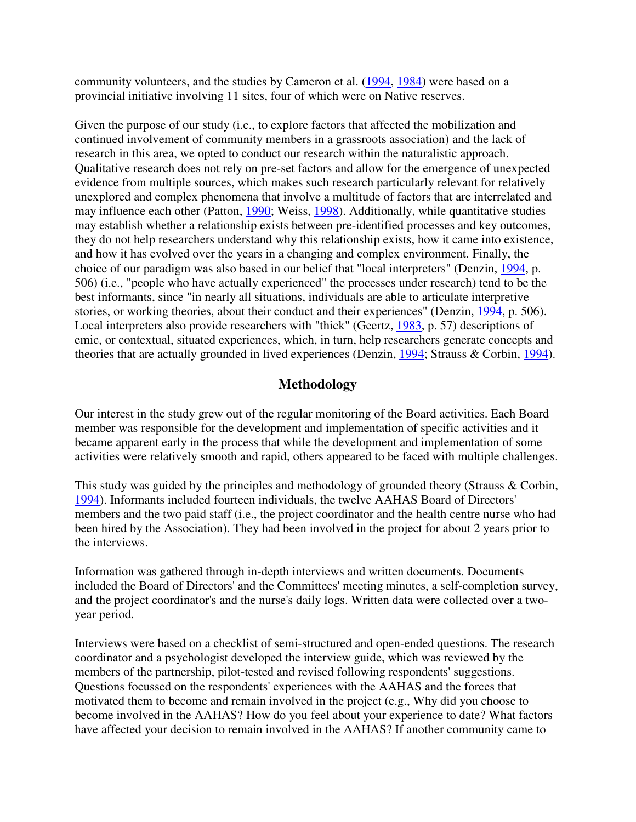community volunteers, and the studies by Cameron et al. (1994, 1984) were based on a provincial initiative involving 11 sites, four of which were on Native reserves.

Given the purpose of our study (i.e., to explore factors that affected the mobilization and continued involvement of community members in a grassroots association) and the lack of research in this area, we opted to conduct our research within the naturalistic approach. Qualitative research does not rely on pre-set factors and allow for the emergence of unexpected evidence from multiple sources, which makes such research particularly relevant for relatively unexplored and complex phenomena that involve a multitude of factors that are interrelated and may influence each other (Patton, 1990; Weiss, 1998). Additionally, while quantitative studies may establish whether a relationship exists between pre-identified processes and key outcomes, they do not help researchers understand why this relationship exists, how it came into existence, and how it has evolved over the years in a changing and complex environment. Finally, the choice of our paradigm was also based in our belief that "local interpreters" (Denzin, 1994, p. 506) (i.e., "people who have actually experienced" the processes under research) tend to be the best informants, since "in nearly all situations, individuals are able to articulate interpretive stories, or working theories, about their conduct and their experiences" (Denzin, 1994, p. 506). Local interpreters also provide researchers with "thick" (Geertz, 1983, p. 57) descriptions of emic, or contextual, situated experiences, which, in turn, help researchers generate concepts and theories that are actually grounded in lived experiences (Denzin, 1994; Strauss & Corbin, 1994).

## **Methodology**

Our interest in the study grew out of the regular monitoring of the Board activities. Each Board member was responsible for the development and implementation of specific activities and it became apparent early in the process that while the development and implementation of some activities were relatively smooth and rapid, others appeared to be faced with multiple challenges.

This study was guided by the principles and methodology of grounded theory (Strauss & Corbin, 1994). Informants included fourteen individuals, the twelve AAHAS Board of Directors' members and the two paid staff (i.e., the project coordinator and the health centre nurse who had been hired by the Association). They had been involved in the project for about 2 years prior to the interviews.

Information was gathered through in-depth interviews and written documents. Documents included the Board of Directors' and the Committees' meeting minutes, a self-completion survey, and the project coordinator's and the nurse's daily logs. Written data were collected over a twoyear period.

Interviews were based on a checklist of semi-structured and open-ended questions. The research coordinator and a psychologist developed the interview guide, which was reviewed by the members of the partnership, pilot-tested and revised following respondents' suggestions. Questions focussed on the respondents' experiences with the AAHAS and the forces that motivated them to become and remain involved in the project (e.g., Why did you choose to become involved in the AAHAS? How do you feel about your experience to date? What factors have affected your decision to remain involved in the AAHAS? If another community came to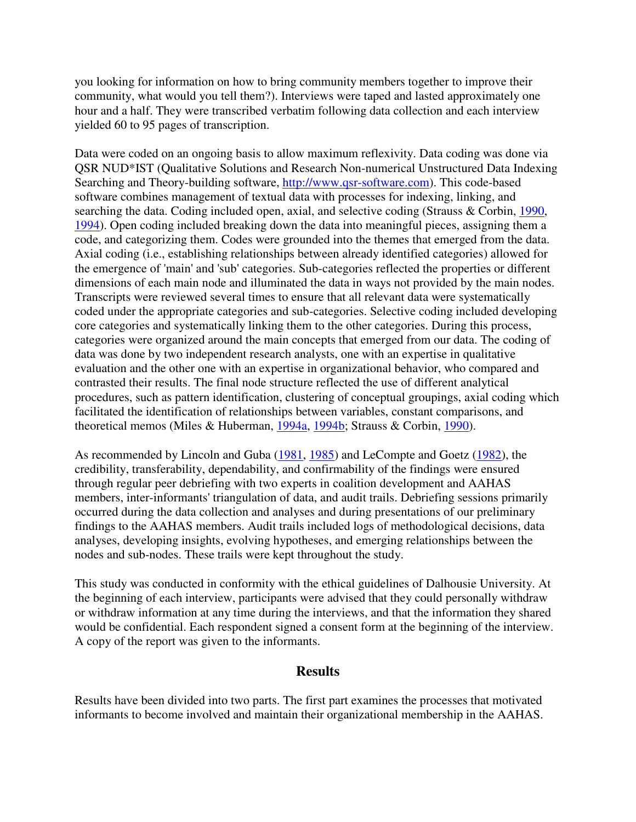you looking for information on how to bring community members together to improve their community, what would you tell them?). Interviews were taped and lasted approximately one hour and a half. They were transcribed verbatim following data collection and each interview yielded 60 to 95 pages of transcription.

Data were coded on an ongoing basis to allow maximum reflexivity. Data coding was done via QSR NUD\*IST (Qualitative Solutions and Research Non-numerical Unstructured Data Indexing Searching and Theory-building software, http://www.qsr-software.com). This code-based software combines management of textual data with processes for indexing, linking, and searching the data. Coding included open, axial, and selective coding (Strauss & Corbin, 1990, 1994). Open coding included breaking down the data into meaningful pieces, assigning them a code, and categorizing them. Codes were grounded into the themes that emerged from the data. Axial coding (i.e., establishing relationships between already identified categories) allowed for the emergence of 'main' and 'sub' categories. Sub-categories reflected the properties or different dimensions of each main node and illuminated the data in ways not provided by the main nodes. Transcripts were reviewed several times to ensure that all relevant data were systematically coded under the appropriate categories and sub-categories. Selective coding included developing core categories and systematically linking them to the other categories. During this process, categories were organized around the main concepts that emerged from our data. The coding of data was done by two independent research analysts, one with an expertise in qualitative evaluation and the other one with an expertise in organizational behavior, who compared and contrasted their results. The final node structure reflected the use of different analytical procedures, such as pattern identification, clustering of conceptual groupings, axial coding which facilitated the identification of relationships between variables, constant comparisons, and theoretical memos (Miles & Huberman, 1994a, 1994b; Strauss & Corbin, 1990).

As recommended by Lincoln and Guba (1981, 1985) and LeCompte and Goetz (1982), the credibility, transferability, dependability, and confirmability of the findings were ensured through regular peer debriefing with two experts in coalition development and AAHAS members, inter-informants' triangulation of data, and audit trails. Debriefing sessions primarily occurred during the data collection and analyses and during presentations of our preliminary findings to the AAHAS members. Audit trails included logs of methodological decisions, data analyses, developing insights, evolving hypotheses, and emerging relationships between the nodes and sub-nodes. These trails were kept throughout the study.

This study was conducted in conformity with the ethical guidelines of Dalhousie University. At the beginning of each interview, participants were advised that they could personally withdraw or withdraw information at any time during the interviews, and that the information they shared would be confidential. Each respondent signed a consent form at the beginning of the interview. A copy of the report was given to the informants.

## **Results**

Results have been divided into two parts. The first part examines the processes that motivated informants to become involved and maintain their organizational membership in the AAHAS.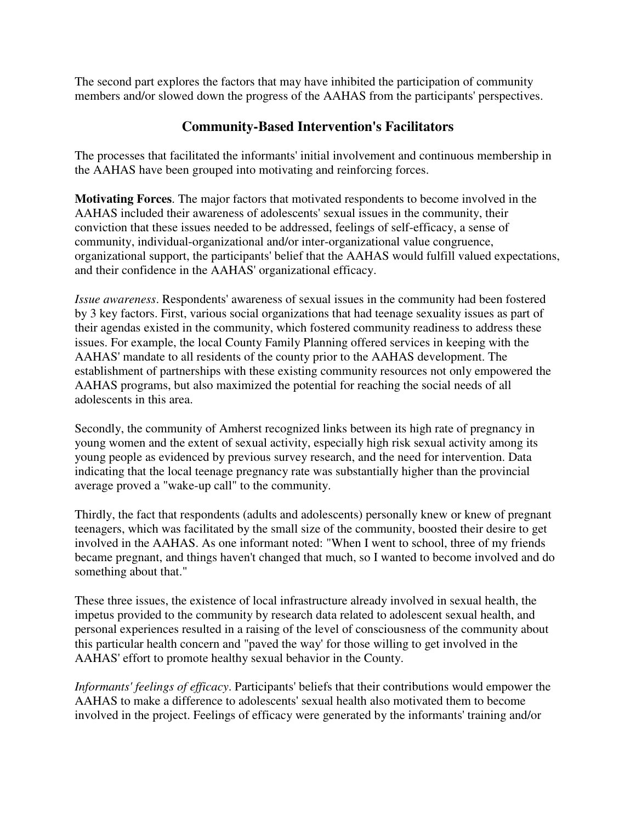The second part explores the factors that may have inhibited the participation of community members and/or slowed down the progress of the AAHAS from the participants' perspectives.

## **Community-Based Intervention's Facilitators**

The processes that facilitated the informants' initial involvement and continuous membership in the AAHAS have been grouped into motivating and reinforcing forces.

**Motivating Forces**. The major factors that motivated respondents to become involved in the AAHAS included their awareness of adolescents' sexual issues in the community, their conviction that these issues needed to be addressed, feelings of self-efficacy, a sense of community, individual-organizational and/or inter-organizational value congruence, organizational support, the participants' belief that the AAHAS would fulfill valued expectations, and their confidence in the AAHAS' organizational efficacy.

*Issue awareness*. Respondents' awareness of sexual issues in the community had been fostered by 3 key factors. First, various social organizations that had teenage sexuality issues as part of their agendas existed in the community, which fostered community readiness to address these issues. For example, the local County Family Planning offered services in keeping with the AAHAS' mandate to all residents of the county prior to the AAHAS development. The establishment of partnerships with these existing community resources not only empowered the AAHAS programs, but also maximized the potential for reaching the social needs of all adolescents in this area.

Secondly, the community of Amherst recognized links between its high rate of pregnancy in young women and the extent of sexual activity, especially high risk sexual activity among its young people as evidenced by previous survey research, and the need for intervention. Data indicating that the local teenage pregnancy rate was substantially higher than the provincial average proved a "wake-up call" to the community.

Thirdly, the fact that respondents (adults and adolescents) personally knew or knew of pregnant teenagers, which was facilitated by the small size of the community, boosted their desire to get involved in the AAHAS. As one informant noted: "When I went to school, three of my friends became pregnant, and things haven't changed that much, so I wanted to become involved and do something about that."

These three issues, the existence of local infrastructure already involved in sexual health, the impetus provided to the community by research data related to adolescent sexual health, and personal experiences resulted in a raising of the level of consciousness of the community about this particular health concern and "paved the way' for those willing to get involved in the AAHAS' effort to promote healthy sexual behavior in the County.

*Informants' feelings of efficacy*. Participants' beliefs that their contributions would empower the AAHAS to make a difference to adolescents' sexual health also motivated them to become involved in the project. Feelings of efficacy were generated by the informants' training and/or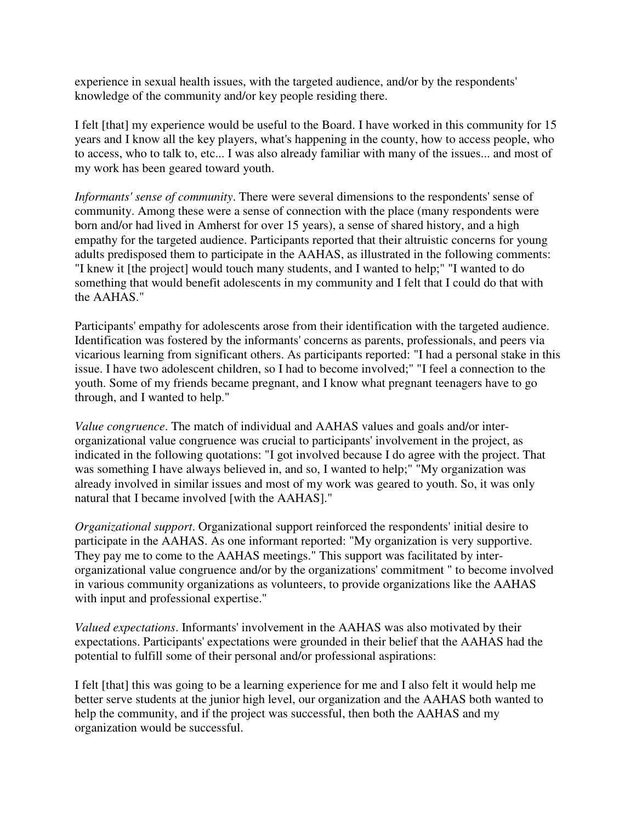experience in sexual health issues, with the targeted audience, and/or by the respondents' knowledge of the community and/or key people residing there.

I felt [that] my experience would be useful to the Board. I have worked in this community for 15 years and I know all the key players, what's happening in the county, how to access people, who to access, who to talk to, etc... I was also already familiar with many of the issues... and most of my work has been geared toward youth.

*Informants' sense of community*. There were several dimensions to the respondents' sense of community. Among these were a sense of connection with the place (many respondents were born and/or had lived in Amherst for over 15 years), a sense of shared history, and a high empathy for the targeted audience. Participants reported that their altruistic concerns for young adults predisposed them to participate in the AAHAS, as illustrated in the following comments: "I knew it [the project] would touch many students, and I wanted to help;" "I wanted to do something that would benefit adolescents in my community and I felt that I could do that with the AAHAS."

Participants' empathy for adolescents arose from their identification with the targeted audience. Identification was fostered by the informants' concerns as parents, professionals, and peers via vicarious learning from significant others. As participants reported: "I had a personal stake in this issue. I have two adolescent children, so I had to become involved;" "I feel a connection to the youth. Some of my friends became pregnant, and I know what pregnant teenagers have to go through, and I wanted to help."

*Value congruence*. The match of individual and AAHAS values and goals and/or interorganizational value congruence was crucial to participants' involvement in the project, as indicated in the following quotations: "I got involved because I do agree with the project. That was something I have always believed in, and so, I wanted to help;" "My organization was already involved in similar issues and most of my work was geared to youth. So, it was only natural that I became involved [with the AAHAS]."

*Organizational support*. Organizational support reinforced the respondents' initial desire to participate in the AAHAS. As one informant reported: "My organization is very supportive. They pay me to come to the AAHAS meetings." This support was facilitated by interorganizational value congruence and/or by the organizations' commitment " to become involved in various community organizations as volunteers, to provide organizations like the AAHAS with input and professional expertise."

*Valued expectations*. Informants' involvement in the AAHAS was also motivated by their expectations. Participants' expectations were grounded in their belief that the AAHAS had the potential to fulfill some of their personal and/or professional aspirations:

I felt [that] this was going to be a learning experience for me and I also felt it would help me better serve students at the junior high level, our organization and the AAHAS both wanted to help the community, and if the project was successful, then both the AAHAS and my organization would be successful.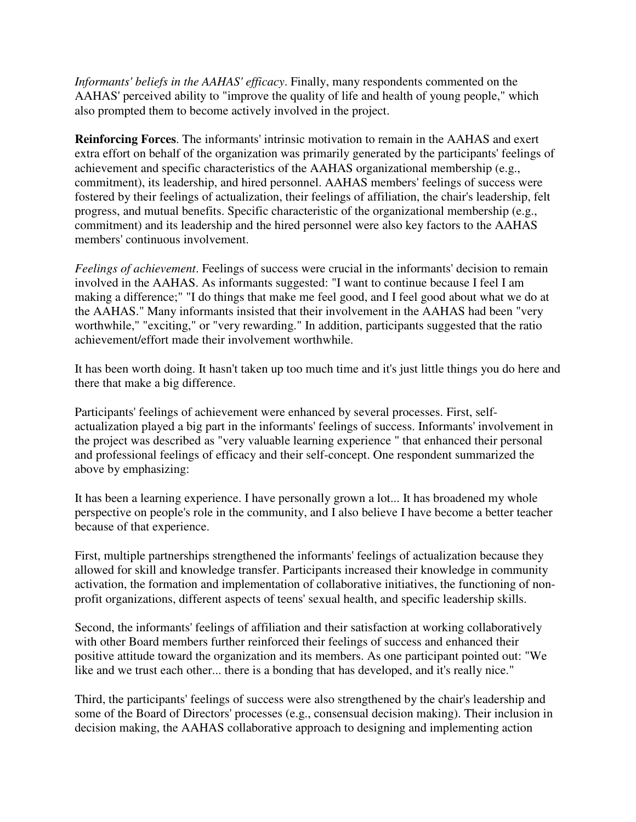*Informants' beliefs in the AAHAS' efficacy*. Finally, many respondents commented on the AAHAS' perceived ability to "improve the quality of life and health of young people," which also prompted them to become actively involved in the project.

**Reinforcing Forces**. The informants' intrinsic motivation to remain in the AAHAS and exert extra effort on behalf of the organization was primarily generated by the participants' feelings of achievement and specific characteristics of the AAHAS organizational membership (e.g., commitment), its leadership, and hired personnel. AAHAS members' feelings of success were fostered by their feelings of actualization, their feelings of affiliation, the chair's leadership, felt progress, and mutual benefits. Specific characteristic of the organizational membership (e.g., commitment) and its leadership and the hired personnel were also key factors to the AAHAS members' continuous involvement.

*Feelings of achievement*. Feelings of success were crucial in the informants' decision to remain involved in the AAHAS. As informants suggested: "I want to continue because I feel I am making a difference;" "I do things that make me feel good, and I feel good about what we do at the AAHAS." Many informants insisted that their involvement in the AAHAS had been "very worthwhile," "exciting," or "very rewarding." In addition, participants suggested that the ratio achievement/effort made their involvement worthwhile.

It has been worth doing. It hasn't taken up too much time and it's just little things you do here and there that make a big difference.

Participants' feelings of achievement were enhanced by several processes. First, selfactualization played a big part in the informants' feelings of success. Informants' involvement in the project was described as "very valuable learning experience " that enhanced their personal and professional feelings of efficacy and their self-concept. One respondent summarized the above by emphasizing:

It has been a learning experience. I have personally grown a lot... It has broadened my whole perspective on people's role in the community, and I also believe I have become a better teacher because of that experience.

First, multiple partnerships strengthened the informants' feelings of actualization because they allowed for skill and knowledge transfer. Participants increased their knowledge in community activation, the formation and implementation of collaborative initiatives, the functioning of nonprofit organizations, different aspects of teens' sexual health, and specific leadership skills.

Second, the informants' feelings of affiliation and their satisfaction at working collaboratively with other Board members further reinforced their feelings of success and enhanced their positive attitude toward the organization and its members. As one participant pointed out: "We like and we trust each other... there is a bonding that has developed, and it's really nice."

Third, the participants' feelings of success were also strengthened by the chair's leadership and some of the Board of Directors' processes (e.g., consensual decision making). Their inclusion in decision making, the AAHAS collaborative approach to designing and implementing action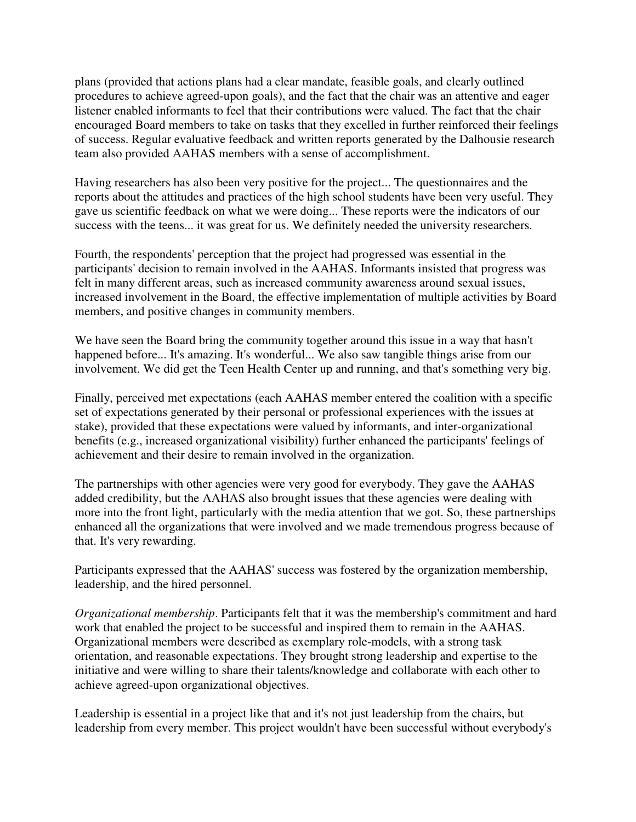plans (provided that actions plans had a clear mandate, feasible goals, and clearly outlined procedures to achieve agreed-upon goals), and the fact that the chair was an attentive and eager listener enabled informants to feel that their contributions were valued. The fact that the chair encouraged Board members to take on tasks that they excelled in further reinforced their feelings of success. Regular evaluative feedback and written reports generated by the Dalhousie research team also provided AAHAS members with a sense of accomplishment.

Having researchers has also been very positive for the project... The questionnaires and the reports about the attitudes and practices of the high school students have been very useful. They gave us scientific feedback on what we were doing... These reports were the indicators of our success with the teens... it was great for us. We definitely needed the university researchers.

Fourth, the respondents' perception that the project had progressed was essential in the participants' decision to remain involved in the AAHAS. Informants insisted that progress was felt in many different areas, such as increased community awareness around sexual issues, increased involvement in the Board, the effective implementation of multiple activities by Board members, and positive changes in community members.

We have seen the Board bring the community together around this issue in a way that hasn't happened before... It's amazing. It's wonderful... We also saw tangible things arise from our involvement. We did get the Teen Health Center up and running, and that's something very big.

Finally, perceived met expectations (each AAHAS member entered the coalition with a specific set of expectations generated by their personal or professional experiences with the issues at stake), provided that these expectations were valued by informants, and inter-organizational benefits (e.g., increased organizational visibility) further enhanced the participants' feelings of achievement and their desire to remain involved in the organization.

The partnerships with other agencies were very good for everybody. They gave the AAHAS added credibility, but the AAHAS also brought issues that these agencies were dealing with more into the front light, particularly with the media attention that we got. So, these partnerships enhanced all the organizations that were involved and we made tremendous progress because of that. It's very rewarding.

Participants expressed that the AAHAS' success was fostered by the organization membership, leadership, and the hired personnel.

*Organizational membership*. Participants felt that it was the membership's commitment and hard work that enabled the project to be successful and inspired them to remain in the AAHAS. Organizational members were described as exemplary role-models, with a strong task orientation, and reasonable expectations. They brought strong leadership and expertise to the initiative and were willing to share their talents/knowledge and collaborate with each other to achieve agreed-upon organizational objectives.

Leadership is essential in a project like that and it's not just leadership from the chairs, but leadership from every member. This project wouldn't have been successful without everybody's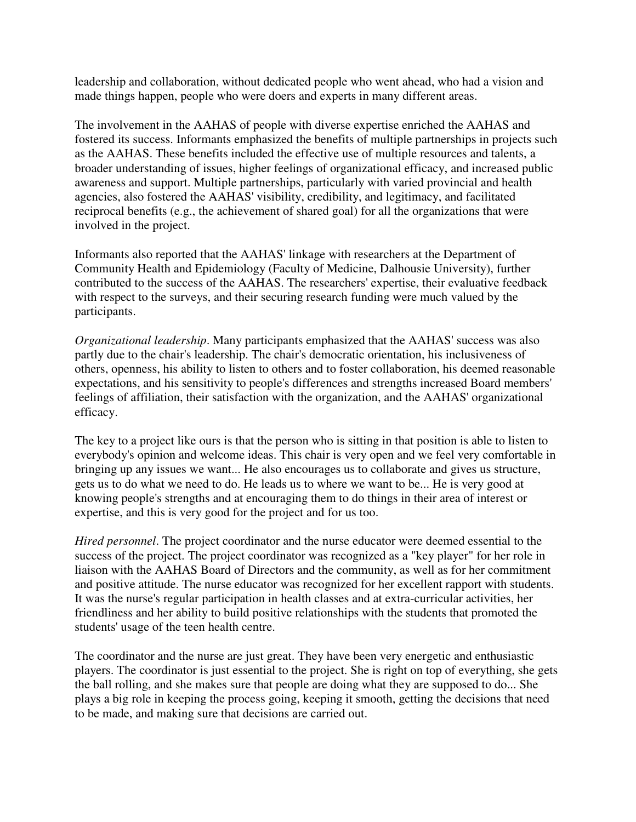leadership and collaboration, without dedicated people who went ahead, who had a vision and made things happen, people who were doers and experts in many different areas.

The involvement in the AAHAS of people with diverse expertise enriched the AAHAS and fostered its success. Informants emphasized the benefits of multiple partnerships in projects such as the AAHAS. These benefits included the effective use of multiple resources and talents, a broader understanding of issues, higher feelings of organizational efficacy, and increased public awareness and support. Multiple partnerships, particularly with varied provincial and health agencies, also fostered the AAHAS' visibility, credibility, and legitimacy, and facilitated reciprocal benefits (e.g., the achievement of shared goal) for all the organizations that were involved in the project.

Informants also reported that the AAHAS' linkage with researchers at the Department of Community Health and Epidemiology (Faculty of Medicine, Dalhousie University), further contributed to the success of the AAHAS. The researchers' expertise, their evaluative feedback with respect to the surveys, and their securing research funding were much valued by the participants.

*Organizational leadership*. Many participants emphasized that the AAHAS' success was also partly due to the chair's leadership. The chair's democratic orientation, his inclusiveness of others, openness, his ability to listen to others and to foster collaboration, his deemed reasonable expectations, and his sensitivity to people's differences and strengths increased Board members' feelings of affiliation, their satisfaction with the organization, and the AAHAS' organizational efficacy.

The key to a project like ours is that the person who is sitting in that position is able to listen to everybody's opinion and welcome ideas. This chair is very open and we feel very comfortable in bringing up any issues we want... He also encourages us to collaborate and gives us structure, gets us to do what we need to do. He leads us to where we want to be... He is very good at knowing people's strengths and at encouraging them to do things in their area of interest or expertise, and this is very good for the project and for us too.

*Hired personnel*. The project coordinator and the nurse educator were deemed essential to the success of the project. The project coordinator was recognized as a "key player" for her role in liaison with the AAHAS Board of Directors and the community, as well as for her commitment and positive attitude. The nurse educator was recognized for her excellent rapport with students. It was the nurse's regular participation in health classes and at extra-curricular activities, her friendliness and her ability to build positive relationships with the students that promoted the students' usage of the teen health centre.

The coordinator and the nurse are just great. They have been very energetic and enthusiastic players. The coordinator is just essential to the project. She is right on top of everything, she gets the ball rolling, and she makes sure that people are doing what they are supposed to do... She plays a big role in keeping the process going, keeping it smooth, getting the decisions that need to be made, and making sure that decisions are carried out.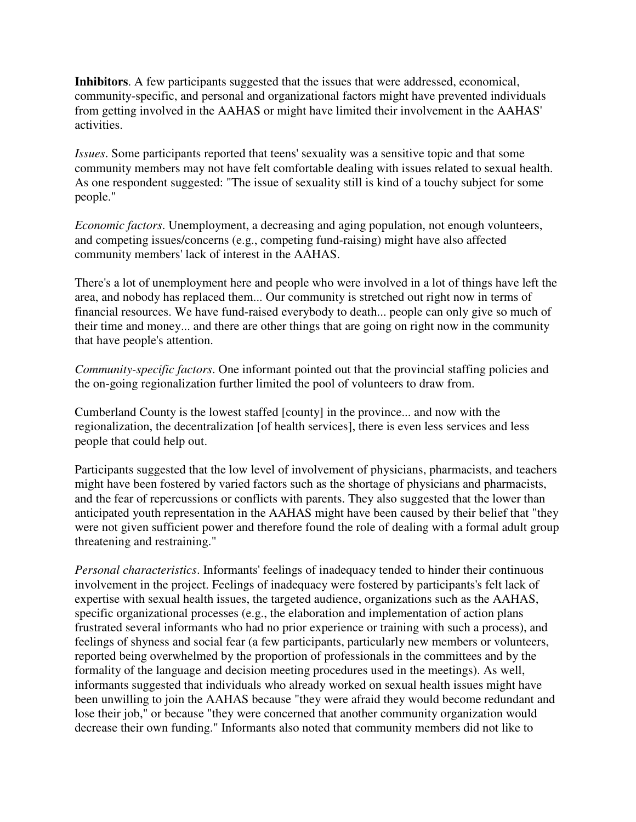**Inhibitors**. A few participants suggested that the issues that were addressed, economical, community-specific, and personal and organizational factors might have prevented individuals from getting involved in the AAHAS or might have limited their involvement in the AAHAS' activities.

*Issues*. Some participants reported that teens' sexuality was a sensitive topic and that some community members may not have felt comfortable dealing with issues related to sexual health. As one respondent suggested: "The issue of sexuality still is kind of a touchy subject for some people."

*Economic factors*. Unemployment, a decreasing and aging population, not enough volunteers, and competing issues/concerns (e.g., competing fund-raising) might have also affected community members' lack of interest in the AAHAS.

There's a lot of unemployment here and people who were involved in a lot of things have left the area, and nobody has replaced them... Our community is stretched out right now in terms of financial resources. We have fund-raised everybody to death... people can only give so much of their time and money... and there are other things that are going on right now in the community that have people's attention.

*Community-specific factors*. One informant pointed out that the provincial staffing policies and the on-going regionalization further limited the pool of volunteers to draw from.

Cumberland County is the lowest staffed [county] in the province... and now with the regionalization, the decentralization [of health services], there is even less services and less people that could help out.

Participants suggested that the low level of involvement of physicians, pharmacists, and teachers might have been fostered by varied factors such as the shortage of physicians and pharmacists, and the fear of repercussions or conflicts with parents. They also suggested that the lower than anticipated youth representation in the AAHAS might have been caused by their belief that "they were not given sufficient power and therefore found the role of dealing with a formal adult group threatening and restraining."

*Personal characteristics*. Informants' feelings of inadequacy tended to hinder their continuous involvement in the project. Feelings of inadequacy were fostered by participants's felt lack of expertise with sexual health issues, the targeted audience, organizations such as the AAHAS, specific organizational processes (e.g., the elaboration and implementation of action plans frustrated several informants who had no prior experience or training with such a process), and feelings of shyness and social fear (a few participants, particularly new members or volunteers, reported being overwhelmed by the proportion of professionals in the committees and by the formality of the language and decision meeting procedures used in the meetings). As well, informants suggested that individuals who already worked on sexual health issues might have been unwilling to join the AAHAS because "they were afraid they would become redundant and lose their job," or because "they were concerned that another community organization would decrease their own funding." Informants also noted that community members did not like to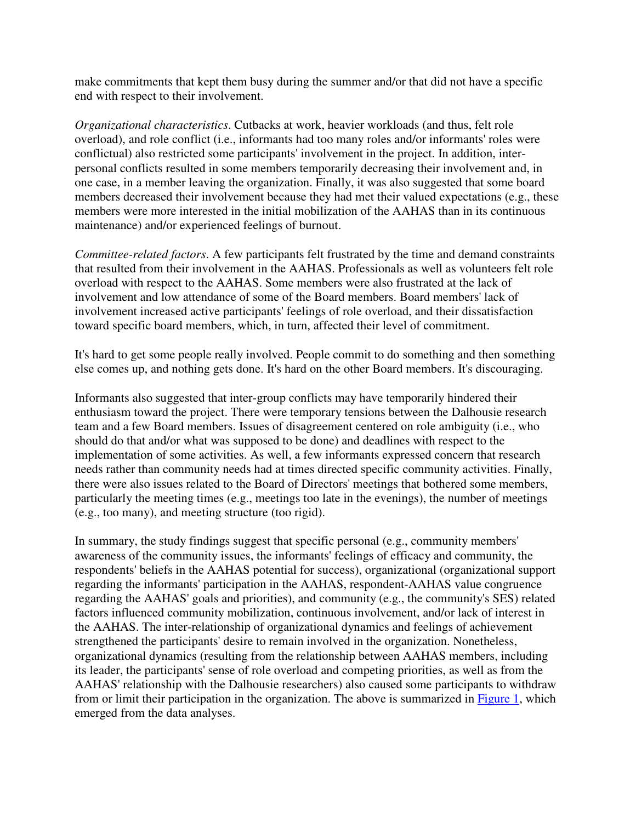make commitments that kept them busy during the summer and/or that did not have a specific end with respect to their involvement.

*Organizational characteristics*. Cutbacks at work, heavier workloads (and thus, felt role overload), and role conflict (i.e., informants had too many roles and/or informants' roles were conflictual) also restricted some participants' involvement in the project. In addition, interpersonal conflicts resulted in some members temporarily decreasing their involvement and, in one case, in a member leaving the organization. Finally, it was also suggested that some board members decreased their involvement because they had met their valued expectations (e.g., these members were more interested in the initial mobilization of the AAHAS than in its continuous maintenance) and/or experienced feelings of burnout.

*Committee-related factors*. A few participants felt frustrated by the time and demand constraints that resulted from their involvement in the AAHAS. Professionals as well as volunteers felt role overload with respect to the AAHAS. Some members were also frustrated at the lack of involvement and low attendance of some of the Board members. Board members' lack of involvement increased active participants' feelings of role overload, and their dissatisfaction toward specific board members, which, in turn, affected their level of commitment.

It's hard to get some people really involved. People commit to do something and then something else comes up, and nothing gets done. It's hard on the other Board members. It's discouraging.

Informants also suggested that inter-group conflicts may have temporarily hindered their enthusiasm toward the project. There were temporary tensions between the Dalhousie research team and a few Board members. Issues of disagreement centered on role ambiguity (i.e., who should do that and/or what was supposed to be done) and deadlines with respect to the implementation of some activities. As well, a few informants expressed concern that research needs rather than community needs had at times directed specific community activities. Finally, there were also issues related to the Board of Directors' meetings that bothered some members, particularly the meeting times (e.g., meetings too late in the evenings), the number of meetings (e.g., too many), and meeting structure (too rigid).

In summary, the study findings suggest that specific personal (e.g., community members' awareness of the community issues, the informants' feelings of efficacy and community, the respondents' beliefs in the AAHAS potential for success), organizational (organizational support regarding the informants' participation in the AAHAS, respondent-AAHAS value congruence regarding the AAHAS' goals and priorities), and community (e.g., the community's SES) related factors influenced community mobilization, continuous involvement, and/or lack of interest in the AAHAS. The inter-relationship of organizational dynamics and feelings of achievement strengthened the participants' desire to remain involved in the organization. Nonetheless, organizational dynamics (resulting from the relationship between AAHAS members, including its leader, the participants' sense of role overload and competing priorities, as well as from the AAHAS' relationship with the Dalhousie researchers) also caused some participants to withdraw from or limit their participation in the organization. The above is summarized in Figure 1, which emerged from the data analyses.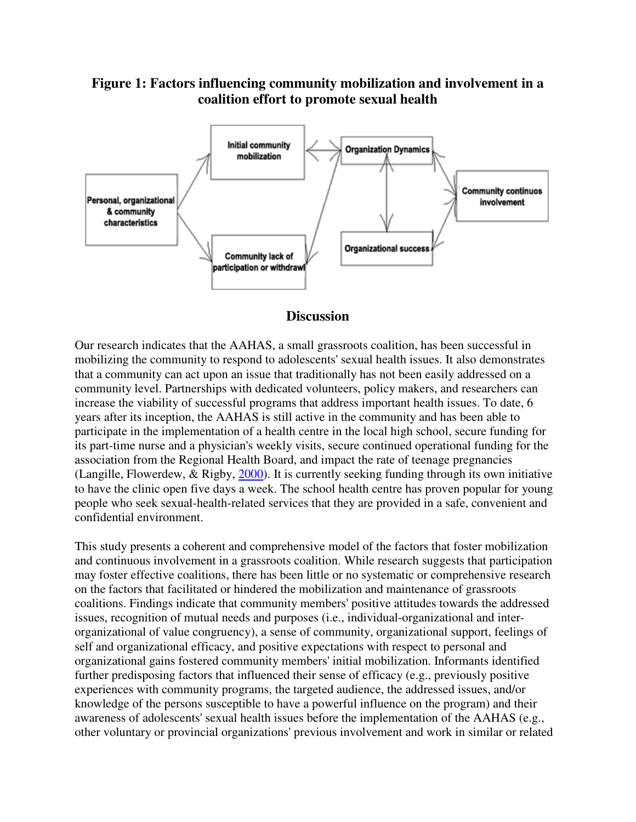## **Figure 1: Factors influencing community mobilization and involvement in a coalition effort to promote sexual health**



#### **Discussion**

Our research indicates that the AAHAS, a small grassroots coalition, has been successful in mobilizing the community to respond to adolescents' sexual health issues. It also demonstrates that a community can act upon an issue that traditionally has not been easily addressed on a community level. Partnerships with dedicated volunteers, policy makers, and researchers can increase the viability of successful programs that address important health issues. To date, 6 years after its inception, the AAHAS is still active in the community and has been able to participate in the implementation of a health centre in the local high school, secure funding for its part-time nurse and a physician's weekly visits, secure continued operational funding for the association from the Regional Health Board, and impact the rate of teenage pregnancies (Langille, Flowerdew, & Rigby, 2000). It is currently seeking funding through its own initiative to have the clinic open five days a week. The school health centre has proven popular for young people who seek sexual-health-related services that they are provided in a safe, convenient and confidential environment.

This study presents a coherent and comprehensive model of the factors that foster mobilization and continuous involvement in a grassroots coalition. While research suggests that participation may foster effective coalitions, there has been little or no systematic or comprehensive research on the factors that facilitated or hindered the mobilization and maintenance of grassroots coalitions. Findings indicate that community members' positive attitudes towards the addressed issues, recognition of mutual needs and purposes (i.e., individual-organizational and interorganizational of value congruency), a sense of community, organizational support, feelings of self and organizational efficacy, and positive expectations with respect to personal and organizational gains fostered community members' initial mobilization. Informants identified further predisposing factors that influenced their sense of efficacy (e.g., previously positive experiences with community programs, the targeted audience, the addressed issues, and/or knowledge of the persons susceptible to have a powerful influence on the program) and their awareness of adolescents' sexual health issues before the implementation of the AAHAS (e.g., other voluntary or provincial organizations' previous involvement and work in similar or related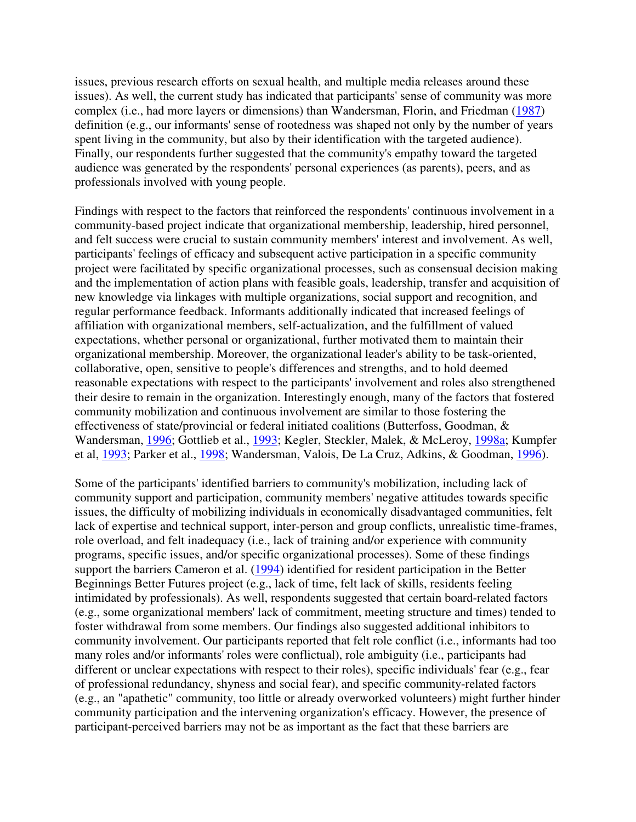issues, previous research efforts on sexual health, and multiple media releases around these issues). As well, the current study has indicated that participants' sense of community was more complex (i.e., had more layers or dimensions) than Wandersman, Florin, and Friedman (1987) definition (e.g., our informants' sense of rootedness was shaped not only by the number of years spent living in the community, but also by their identification with the targeted audience). Finally, our respondents further suggested that the community's empathy toward the targeted audience was generated by the respondents' personal experiences (as parents), peers, and as professionals involved with young people.

Findings with respect to the factors that reinforced the respondents' continuous involvement in a community-based project indicate that organizational membership, leadership, hired personnel, and felt success were crucial to sustain community members' interest and involvement. As well, participants' feelings of efficacy and subsequent active participation in a specific community project were facilitated by specific organizational processes, such as consensual decision making and the implementation of action plans with feasible goals, leadership, transfer and acquisition of new knowledge via linkages with multiple organizations, social support and recognition, and regular performance feedback. Informants additionally indicated that increased feelings of affiliation with organizational members, self-actualization, and the fulfillment of valued expectations, whether personal or organizational, further motivated them to maintain their organizational membership. Moreover, the organizational leader's ability to be task-oriented, collaborative, open, sensitive to people's differences and strengths, and to hold deemed reasonable expectations with respect to the participants' involvement and roles also strengthened their desire to remain in the organization. Interestingly enough, many of the factors that fostered community mobilization and continuous involvement are similar to those fostering the effectiveness of state/provincial or federal initiated coalitions (Butterfoss, Goodman, & Wandersman, 1996; Gottlieb et al., 1993; Kegler, Steckler, Malek, & McLeroy, 1998a; Kumpfer et al, 1993; Parker et al., 1998; Wandersman, Valois, De La Cruz, Adkins, & Goodman, 1996).

Some of the participants' identified barriers to community's mobilization, including lack of community support and participation, community members' negative attitudes towards specific issues, the difficulty of mobilizing individuals in economically disadvantaged communities, felt lack of expertise and technical support, inter-person and group conflicts, unrealistic time-frames, role overload, and felt inadequacy (i.e., lack of training and/or experience with community programs, specific issues, and/or specific organizational processes). Some of these findings support the barriers Cameron et al. (1994) identified for resident participation in the Better Beginnings Better Futures project (e.g., lack of time, felt lack of skills, residents feeling intimidated by professionals). As well, respondents suggested that certain board-related factors (e.g., some organizational members' lack of commitment, meeting structure and times) tended to foster withdrawal from some members. Our findings also suggested additional inhibitors to community involvement. Our participants reported that felt role conflict (i.e., informants had too many roles and/or informants' roles were conflictual), role ambiguity (i.e., participants had different or unclear expectations with respect to their roles), specific individuals' fear (e.g., fear of professional redundancy, shyness and social fear), and specific community-related factors (e.g., an "apathetic" community, too little or already overworked volunteers) might further hinder community participation and the intervening organization's efficacy. However, the presence of participant-perceived barriers may not be as important as the fact that these barriers are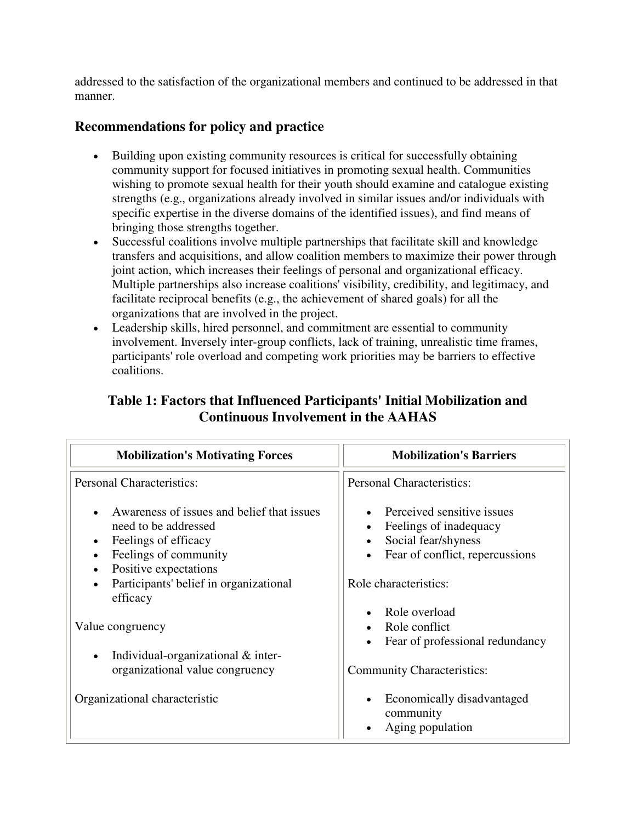addressed to the satisfaction of the organizational members and continued to be addressed in that manner.

## **Recommendations for policy and practice**

- Building upon existing community resources is critical for successfully obtaining community support for focused initiatives in promoting sexual health. Communities wishing to promote sexual health for their youth should examine and catalogue existing strengths (e.g., organizations already involved in similar issues and/or individuals with specific expertise in the diverse domains of the identified issues), and find means of bringing those strengths together.
- Successful coalitions involve multiple partnerships that facilitate skill and knowledge transfers and acquisitions, and allow coalition members to maximize their power through joint action, which increases their feelings of personal and organizational efficacy. Multiple partnerships also increase coalitions' visibility, credibility, and legitimacy, and facilitate reciprocal benefits (e.g., the achievement of shared goals) for all the organizations that are involved in the project.
- Leadership skills, hired personnel, and commitment are essential to community involvement. Inversely inter-group conflicts, lack of training, unrealistic time frames, participants' role overload and competing work priorities may be barriers to effective coalitions.

| <b>Mobilization's Motivating Forces</b>                                                                             | <b>Mobilization's Barriers</b>                                                                                 |
|---------------------------------------------------------------------------------------------------------------------|----------------------------------------------------------------------------------------------------------------|
| <b>Personal Characteristics:</b>                                                                                    | <b>Personal Characteristics:</b>                                                                               |
| Awareness of issues and belief that issues<br>need to be addressed<br>Feelings of efficacy<br>Feelings of community | Perceived sensitive issues<br>Feelings of inadequacy<br>Social fear/shyness<br>Fear of conflict, repercussions |
| Positive expectations<br>Participants' belief in organizational<br>$\bullet$<br>efficacy                            | Role characteristics:                                                                                          |
| Value congruency                                                                                                    | Role overload<br>Role conflict<br>Fear of professional redundancy                                              |
| Individual-organizational & inter-<br>$\bullet$<br>organizational value congruency                                  | <b>Community Characteristics:</b>                                                                              |
| Organizational characteristic                                                                                       | Economically disadvantaged<br>community<br>Aging population                                                    |

## **Table 1: Factors that Influenced Participants' Initial Mobilization and Continuous Involvement in the AAHAS**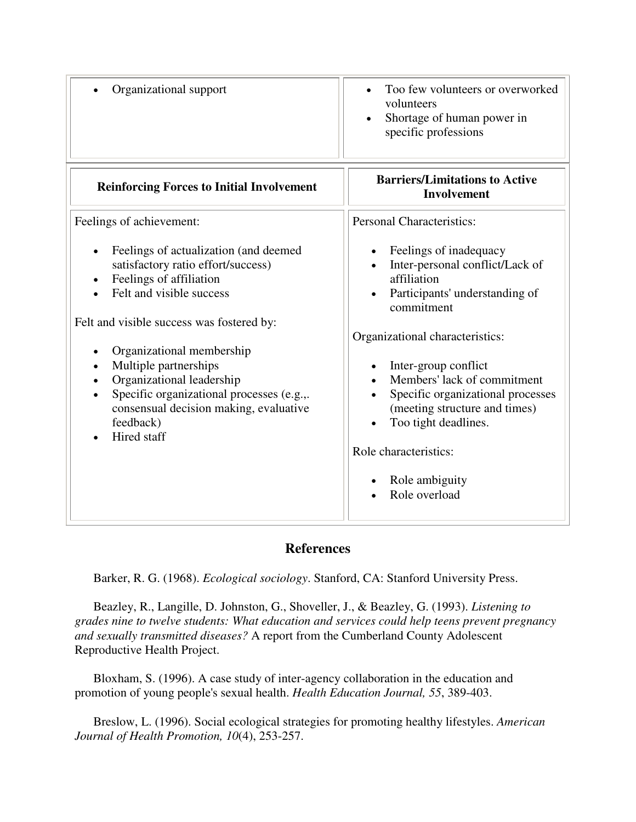| Organizational support                                                                                                                                                                             | Too few volunteers or overworked<br>volunteers<br>Shortage of human power in<br>specific professions                                                                                                          |
|----------------------------------------------------------------------------------------------------------------------------------------------------------------------------------------------------|---------------------------------------------------------------------------------------------------------------------------------------------------------------------------------------------------------------|
| <b>Reinforcing Forces to Initial Involvement</b>                                                                                                                                                   | <b>Barriers/Limitations to Active</b><br><b>Involvement</b>                                                                                                                                                   |
| Feelings of achievement:                                                                                                                                                                           | <b>Personal Characteristics:</b>                                                                                                                                                                              |
| Feelings of actualization (and deemed<br>satisfactory ratio effort/success)<br>Feelings of affiliation<br>Felt and visible success<br>Felt and visible success was fostered by:                    | Feelings of inadequacy<br>Inter-personal conflict/Lack of<br>affiliation<br>Participants' understanding of<br>commitment                                                                                      |
|                                                                                                                                                                                                    | Organizational characteristics:                                                                                                                                                                               |
| Organizational membership<br>Multiple partnerships<br>Organizational leadership<br>Specific organizational processes (e.g.,.<br>consensual decision making, evaluative<br>feedback)<br>Hired staff | Inter-group conflict<br>Members' lack of commitment<br>Specific organizational processes<br>(meeting structure and times)<br>Too tight deadlines.<br>Role characteristics:<br>Role ambiguity<br>Role overload |

## **References**

Barker, R. G. (1968). *Ecological sociology*. Stanford, CA: Stanford University Press.

 Beazley, R., Langille, D. Johnston, G., Shoveller, J., & Beazley, G. (1993). *Listening to grades nine to twelve students: What education and services could help teens prevent pregnancy and sexually transmitted diseases?* A report from the Cumberland County Adolescent Reproductive Health Project.

 Bloxham, S. (1996). A case study of inter-agency collaboration in the education and promotion of young people's sexual health. *Health Education Journal, 55*, 389-403.

 Breslow, L. (1996). Social ecological strategies for promoting healthy lifestyles. *American Journal of Health Promotion, 10*(4), 253-257.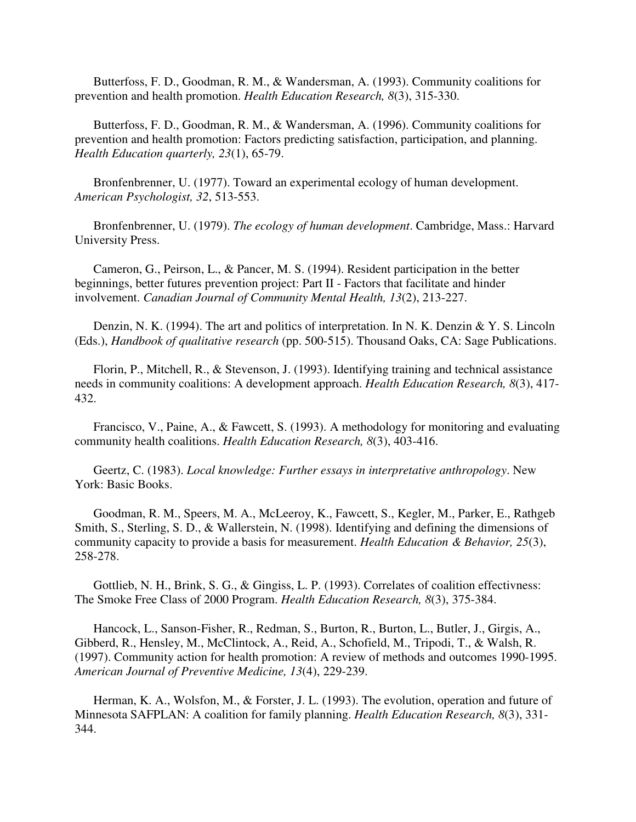Butterfoss, F. D., Goodman, R. M., & Wandersman, A. (1993). Community coalitions for prevention and health promotion. *Health Education Research, 8*(3), 315-330.

 Butterfoss, F. D., Goodman, R. M., & Wandersman, A. (1996). Community coalitions for prevention and health promotion: Factors predicting satisfaction, participation, and planning. *Health Education quarterly, 23*(1), 65-79.

 Bronfenbrenner, U. (1977). Toward an experimental ecology of human development. *American Psychologist, 32*, 513-553.

 Bronfenbrenner, U. (1979). *The ecology of human development*. Cambridge, Mass.: Harvard University Press.

 Cameron, G., Peirson, L., & Pancer, M. S. (1994). Resident participation in the better beginnings, better futures prevention project: Part II - Factors that facilitate and hinder involvement. *Canadian Journal of Community Mental Health, 13*(2), 213-227.

Denzin, N. K. (1994). The art and politics of interpretation. In N. K. Denzin & Y. S. Lincoln (Eds.), *Handbook of qualitative research* (pp. 500-515). Thousand Oaks, CA: Sage Publications.

 Florin, P., Mitchell, R., & Stevenson, J. (1993). Identifying training and technical assistance needs in community coalitions: A development approach. *Health Education Research, 8*(3), 417- 432.

 Francisco, V., Paine, A., & Fawcett, S. (1993). A methodology for monitoring and evaluating community health coalitions. *Health Education Research, 8*(3), 403-416.

 Geertz, C. (1983). *Local knowledge: Further essays in interpretative anthropology*. New York: Basic Books.

 Goodman, R. M., Speers, M. A., McLeeroy, K., Fawcett, S., Kegler, M., Parker, E., Rathgeb Smith, S., Sterling, S. D., & Wallerstein, N. (1998). Identifying and defining the dimensions of community capacity to provide a basis for measurement. *Health Education & Behavior, 25*(3), 258-278.

 Gottlieb, N. H., Brink, S. G., & Gingiss, L. P. (1993). Correlates of coalition effectivness: The Smoke Free Class of 2000 Program. *Health Education Research, 8*(3), 375-384.

 Hancock, L., Sanson-Fisher, R., Redman, S., Burton, R., Burton, L., Butler, J., Girgis, A., Gibberd, R., Hensley, M., McClintock, A., Reid, A., Schofield, M., Tripodi, T., & Walsh, R. (1997). Community action for health promotion: A review of methods and outcomes 1990-1995. *American Journal of Preventive Medicine, 13*(4), 229-239.

 Herman, K. A., Wolsfon, M., & Forster, J. L. (1993). The evolution, operation and future of Minnesota SAFPLAN: A coalition for family planning. *Health Education Research, 8*(3), 331- 344.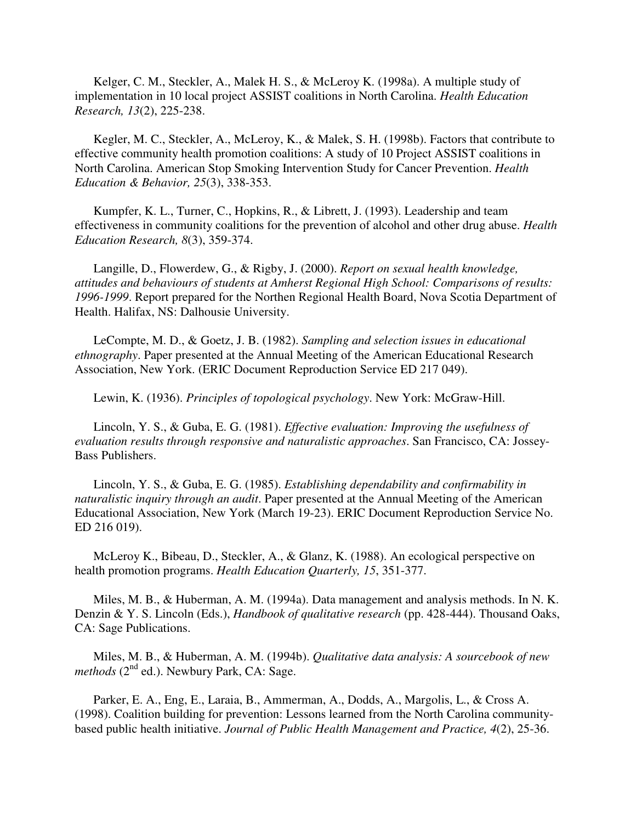Kelger, C. M., Steckler, A., Malek H. S., & McLeroy K. (1998a). A multiple study of implementation in 10 local project ASSIST coalitions in North Carolina. *Health Education Research, 13*(2), 225-238.

 Kegler, M. C., Steckler, A., McLeroy, K., & Malek, S. H. (1998b). Factors that contribute to effective community health promotion coalitions: A study of 10 Project ASSIST coalitions in North Carolina. American Stop Smoking Intervention Study for Cancer Prevention. *Health Education & Behavior, 25*(3), 338-353.

 Kumpfer, K. L., Turner, C., Hopkins, R., & Librett, J. (1993). Leadership and team effectiveness in community coalitions for the prevention of alcohol and other drug abuse. *Health Education Research, 8*(3), 359-374.

 Langille, D., Flowerdew, G., & Rigby, J. (2000). *Report on sexual health knowledge, attitudes and behaviours of students at Amherst Regional High School: Comparisons of results: 1996-1999*. Report prepared for the Northen Regional Health Board, Nova Scotia Department of Health. Halifax, NS: Dalhousie University.

 LeCompte, M. D., & Goetz, J. B. (1982). *Sampling and selection issues in educational ethnography*. Paper presented at the Annual Meeting of the American Educational Research Association, New York. (ERIC Document Reproduction Service ED 217 049).

Lewin, K. (1936). *Principles of topological psychology*. New York: McGraw-Hill.

 Lincoln, Y. S., & Guba, E. G. (1981). *Effective evaluation: Improving the usefulness of evaluation results through responsive and naturalistic approaches*. San Francisco, CA: Jossey-Bass Publishers.

 Lincoln, Y. S., & Guba, E. G. (1985). *Establishing dependability and confirmability in naturalistic inquiry through an audit*. Paper presented at the Annual Meeting of the American Educational Association, New York (March 19-23). ERIC Document Reproduction Service No. ED 216 019).

 McLeroy K., Bibeau, D., Steckler, A., & Glanz, K. (1988). An ecological perspective on health promotion programs. *Health Education Quarterly, 15*, 351-377.

 Miles, M. B., & Huberman, A. M. (1994a). Data management and analysis methods. In N. K. Denzin & Y. S. Lincoln (Eds.), *Handbook of qualitative research* (pp. 428-444). Thousand Oaks, CA: Sage Publications.

 Miles, M. B., & Huberman, A. M. (1994b). *Qualitative data analysis: A sourcebook of new methods* ( $2<sup>nd</sup>$  ed.). Newbury Park, CA: Sage.

 Parker, E. A., Eng, E., Laraia, B., Ammerman, A., Dodds, A., Margolis, L., & Cross A. (1998). Coalition building for prevention: Lessons learned from the North Carolina communitybased public health initiative. *Journal of Public Health Management and Practice, 4*(2), 25-36.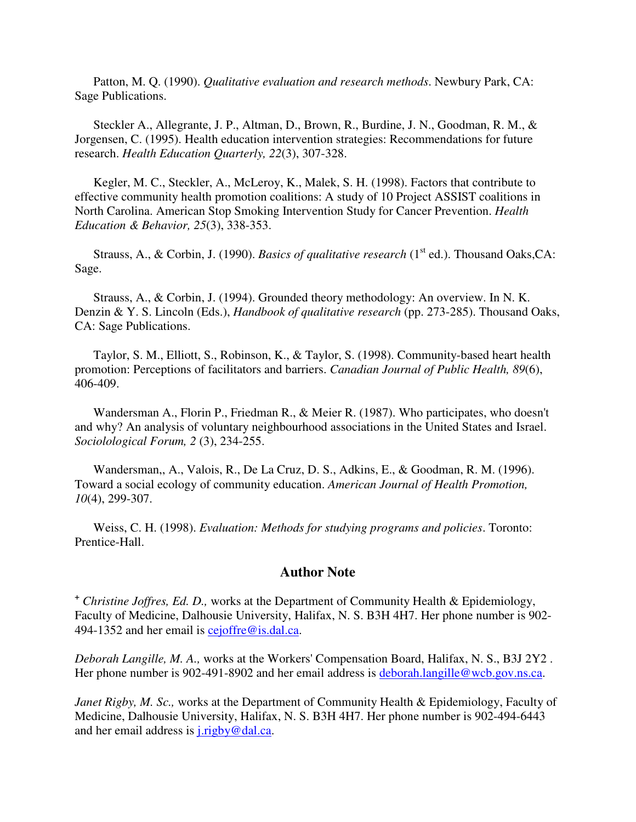Patton, M. Q. (1990). *Qualitative evaluation and research methods*. Newbury Park, CA: Sage Publications.

 Steckler A., Allegrante, J. P., Altman, D., Brown, R., Burdine, J. N., Goodman, R. M., & Jorgensen, C. (1995). Health education intervention strategies: Recommendations for future research. *Health Education Quarterly, 22*(3), 307-328.

 Kegler, M. C., Steckler, A., McLeroy, K., Malek, S. H. (1998). Factors that contribute to effective community health promotion coalitions: A study of 10 Project ASSIST coalitions in North Carolina. American Stop Smoking Intervention Study for Cancer Prevention. *Health Education & Behavior, 25*(3), 338-353.

Strauss, A., & Corbin, J. (1990). *Basics of qualitative research* (1<sup>st</sup> ed.). Thousand Oaks, CA: Sage.

 Strauss, A., & Corbin, J. (1994). Grounded theory methodology: An overview. In N. K. Denzin & Y. S. Lincoln (Eds.), *Handbook of qualitative research* (pp. 273-285). Thousand Oaks, CA: Sage Publications.

 Taylor, S. M., Elliott, S., Robinson, K., & Taylor, S. (1998). Community-based heart health promotion: Perceptions of facilitators and barriers. *Canadian Journal of Public Health, 89*(6), 406-409.

 Wandersman A., Florin P., Friedman R., & Meier R. (1987). Who participates, who doesn't and why? An analysis of voluntary neighbourhood associations in the United States and Israel. *Sociolological Forum, 2* (3), 234-255.

 Wandersman,, A., Valois, R., De La Cruz, D. S., Adkins, E., & Goodman, R. M. (1996). Toward a social ecology of community education. *American Journal of Health Promotion, 10*(4), 299-307.

 Weiss, C. H. (1998). *Evaluation: Methods for studying programs and policies*. Toronto: Prentice-Hall.

#### **Author Note**

**+**  *Christine Joffres, Ed. D.,* works at the Department of Community Health & Epidemiology, Faculty of Medicine, Dalhousie University, Halifax, N. S. B3H 4H7. Her phone number is 902- 494-1352 and her email is cejoffre@is.dal.ca.

*Deborah Langille, M. A.,* works at the Workers' Compensation Board, Halifax, N. S., B3J 2Y2 . Her phone number is 902-491-8902 and her email address is deborah.langille@wcb.gov.ns.ca.

*Janet Rigby, M. Sc., works at the Department of Community Health & Epidemiology, Faculty of* Medicine, Dalhousie University, Halifax, N. S. B3H 4H7. Her phone number is 902-494-6443 and her email address is j.rigby@dal.ca.